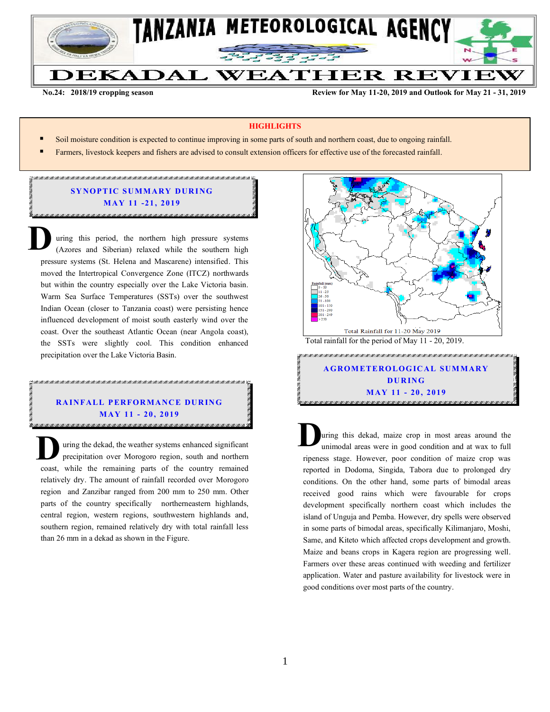

**No.24: 2018/19 cropping season Review for May 11-20, 2019 and Outlook for May 21 - 31, 2019** 

#### **HIGHLIGHTS**

- Soil moisture condition is expected to continue improving in some parts of south and northern coast, due to ongoing rainfall.
- **Farmers, livestock keepers and fishers are advised to consult extension officers for effective use of the forecasted rainfall.**

# **SYNOPTIC SUMMARY DURING M AY 11 -21 , 201 9**

uring this period, the northern high pressure systems (Azores and Siberian) relaxed while the southern high pressure systems (St. Helena and Mascarene) intensified. This moved the Intertropical Convergence Zone (ITCZ) northwards but within the country especially over the Lake Victoria basin. Warm Sea Surface Temperatures (SSTs) over the southwest Indian Ocean (closer to Tanzania coast) were persisting hence influenced development of moist south easterly wind over the coast. Over the southeast Atlantic Ocean (near Angola coast), the SSTs were slightly cool. This condition enhanced precipitation over the Lake Victoria Basin. **D**

## AN TAN KATUNG PATANG KATUNG KATUNG KATUNG KATUNG KATUNG KATUNG KATUNG KATUNG KATUNG KATUNG KATUNG KATUNG KATUN **RAINFALL PERFORMANCE DURING M AY 11 - 20 , 201 9**

**CONTRACTOR** 

uring the dekad, the weather systems enhanced significant precipitation over Morogoro region, south and northern The uring the dekad, the weather systems enhanced significant precipitation over Morogoro region, south and northern coast, while the remaining parts of the country remained relatively dry. The amount of rainfall recorded over Morogoro region and Zanzibar ranged from 200 mm to 250 mm. Other parts of the country specifically northerneastern highlands, central region, western regions, southwestern highlands and, southern region, remained relatively dry with total rainfall less than 26 mm in a dekad as shown in the Figure.



## **A GROM ETERO LOG IC AL SUM MARY DU R ING M AY 11 - 20 , 2019**

uring this dekad, maize crop in most areas around the unimodal areas were in good condition and at wax to full ripeness stage. However, poor condition of maize crop was reported in Dodoma, Singida, Tabora due to prolonged dry conditions. On the other hand, some parts of bimodal areas received good rains which were favourable for crops development specifically northern coast which includes the island of Unguja and Pemba. However, dry spells were observed in some parts of bimodal areas, specifically Kilimanjaro, Moshi, Same, and Kiteto which affected crops development and growth. Maize and beans crops in Kagera region are progressing well. Farmers over these areas continued with weeding and fertilizer application. Water and pasture availability for livestock were in good conditions over most parts of the country. **D**